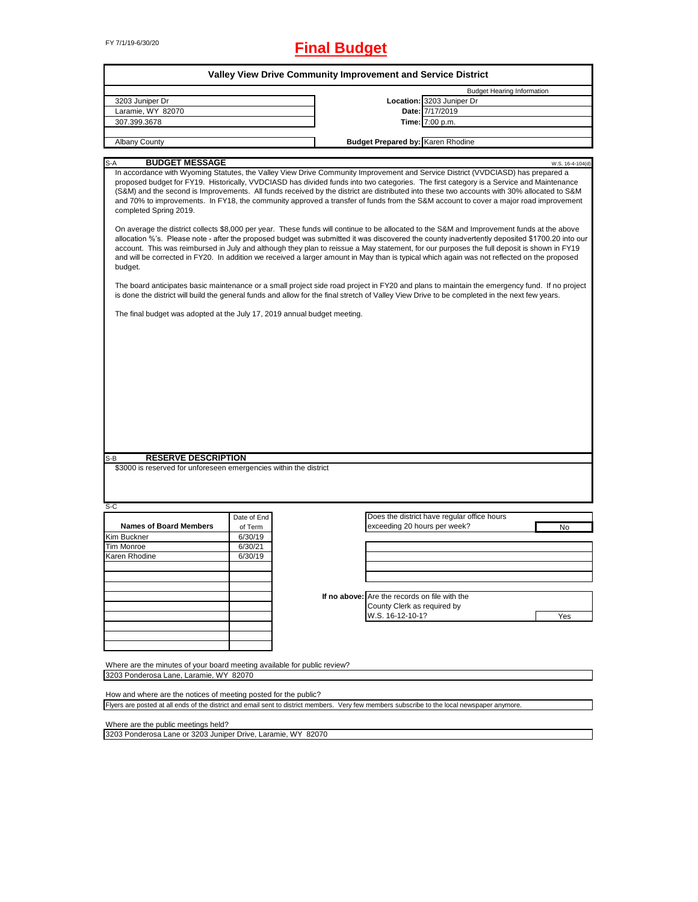# FY 7/1/19-6/30/20 **Final Budget**

| Valley View Drive Community Improvement and Service District                                                                                                                                                                                                                                                                                                                                                                                                                                                                                                                                        |             |  |                                               |                                             |                  |  |  |
|-----------------------------------------------------------------------------------------------------------------------------------------------------------------------------------------------------------------------------------------------------------------------------------------------------------------------------------------------------------------------------------------------------------------------------------------------------------------------------------------------------------------------------------------------------------------------------------------------------|-------------|--|-----------------------------------------------|---------------------------------------------|------------------|--|--|
|                                                                                                                                                                                                                                                                                                                                                                                                                                                                                                                                                                                                     |             |  |                                               | <b>Budget Hearing Information</b>           |                  |  |  |
| 3203 Juniper Dr                                                                                                                                                                                                                                                                                                                                                                                                                                                                                                                                                                                     |             |  |                                               | Location: 3203 Juniper Dr                   |                  |  |  |
| Laramie, WY 82070                                                                                                                                                                                                                                                                                                                                                                                                                                                                                                                                                                                   |             |  |                                               | Date: 7/17/2019                             |                  |  |  |
| 307.399.3678                                                                                                                                                                                                                                                                                                                                                                                                                                                                                                                                                                                        |             |  |                                               | Time: 7:00 p.m.                             |                  |  |  |
| <b>Albany County</b>                                                                                                                                                                                                                                                                                                                                                                                                                                                                                                                                                                                |             |  | <b>Budget Prepared by: Karen Rhodine</b>      |                                             |                  |  |  |
|                                                                                                                                                                                                                                                                                                                                                                                                                                                                                                                                                                                                     |             |  |                                               |                                             |                  |  |  |
| <b>BUDGET MESSAGE</b><br>$S-A$                                                                                                                                                                                                                                                                                                                                                                                                                                                                                                                                                                      |             |  |                                               |                                             | W.S. 16-4-104(d) |  |  |
| In accordance with Wyoming Statutes, the Valley View Drive Community Improvement and Service District (VVDCIASD) has prepared a<br>proposed budget for FY19. Historically, VVDCIASD has divided funds into two categories. The first category is a Service and Maintenance<br>(S&M) and the second is Improvements. All funds received by the district are distributed into these two accounts with 30% allocated to S&M<br>and 70% to improvements. In FY18, the community approved a transfer of funds from the S&M account to cover a major road improvement<br>completed Spring 2019.           |             |  |                                               |                                             |                  |  |  |
| On average the district collects \$8,000 per year. These funds will continue to be allocated to the S&M and Improvement funds at the above<br>allocation %'s. Please note - after the proposed budget was submitted it was discovered the county inadvertently deposited \$1700.20 into our<br>account. This was reimbursed in July and although they plan to reissue a May statement, for our purposes the full deposit is shown in FY19<br>and will be corrected in FY20. In addition we received a larger amount in May than is typical which again was not reflected on the proposed<br>budget. |             |  |                                               |                                             |                  |  |  |
| The board anticipates basic maintenance or a small project side road project in FY20 and plans to maintain the emergency fund. If no project<br>is done the district will build the general funds and allow for the final stretch of Valley View Drive to be completed in the next few years.                                                                                                                                                                                                                                                                                                       |             |  |                                               |                                             |                  |  |  |
| The final budget was adopted at the July 17, 2019 annual budget meeting.                                                                                                                                                                                                                                                                                                                                                                                                                                                                                                                            |             |  |                                               |                                             |                  |  |  |
|                                                                                                                                                                                                                                                                                                                                                                                                                                                                                                                                                                                                     |             |  |                                               |                                             |                  |  |  |
|                                                                                                                                                                                                                                                                                                                                                                                                                                                                                                                                                                                                     |             |  |                                               |                                             |                  |  |  |
|                                                                                                                                                                                                                                                                                                                                                                                                                                                                                                                                                                                                     |             |  |                                               |                                             |                  |  |  |
|                                                                                                                                                                                                                                                                                                                                                                                                                                                                                                                                                                                                     |             |  |                                               |                                             |                  |  |  |
|                                                                                                                                                                                                                                                                                                                                                                                                                                                                                                                                                                                                     |             |  |                                               |                                             |                  |  |  |
|                                                                                                                                                                                                                                                                                                                                                                                                                                                                                                                                                                                                     |             |  |                                               |                                             |                  |  |  |
|                                                                                                                                                                                                                                                                                                                                                                                                                                                                                                                                                                                                     |             |  |                                               |                                             |                  |  |  |
|                                                                                                                                                                                                                                                                                                                                                                                                                                                                                                                                                                                                     |             |  |                                               |                                             |                  |  |  |
|                                                                                                                                                                                                                                                                                                                                                                                                                                                                                                                                                                                                     |             |  |                                               |                                             |                  |  |  |
|                                                                                                                                                                                                                                                                                                                                                                                                                                                                                                                                                                                                     |             |  |                                               |                                             |                  |  |  |
|                                                                                                                                                                                                                                                                                                                                                                                                                                                                                                                                                                                                     |             |  |                                               |                                             |                  |  |  |
|                                                                                                                                                                                                                                                                                                                                                                                                                                                                                                                                                                                                     |             |  |                                               |                                             |                  |  |  |
|                                                                                                                                                                                                                                                                                                                                                                                                                                                                                                                                                                                                     |             |  |                                               |                                             |                  |  |  |
|                                                                                                                                                                                                                                                                                                                                                                                                                                                                                                                                                                                                     |             |  |                                               |                                             |                  |  |  |
| <b>RESERVE DESCRIPTION</b><br>S-B                                                                                                                                                                                                                                                                                                                                                                                                                                                                                                                                                                   |             |  |                                               |                                             |                  |  |  |
| \$3000 is reserved for unforeseen emergencies within the district                                                                                                                                                                                                                                                                                                                                                                                                                                                                                                                                   |             |  |                                               |                                             |                  |  |  |
|                                                                                                                                                                                                                                                                                                                                                                                                                                                                                                                                                                                                     |             |  |                                               |                                             |                  |  |  |
|                                                                                                                                                                                                                                                                                                                                                                                                                                                                                                                                                                                                     |             |  |                                               |                                             |                  |  |  |
|                                                                                                                                                                                                                                                                                                                                                                                                                                                                                                                                                                                                     |             |  |                                               |                                             |                  |  |  |
| S-C                                                                                                                                                                                                                                                                                                                                                                                                                                                                                                                                                                                                 |             |  |                                               |                                             |                  |  |  |
|                                                                                                                                                                                                                                                                                                                                                                                                                                                                                                                                                                                                     | Date of End |  |                                               | Does the district have regular office hours |                  |  |  |
| <b>Names of Board Members</b>                                                                                                                                                                                                                                                                                                                                                                                                                                                                                                                                                                       | of Term     |  | exceeding 20 hours per week?                  |                                             | No               |  |  |
| Kim Buckner                                                                                                                                                                                                                                                                                                                                                                                                                                                                                                                                                                                         | 6/30/19     |  |                                               |                                             |                  |  |  |
| Tim Monroe                                                                                                                                                                                                                                                                                                                                                                                                                                                                                                                                                                                          | 6/30/21     |  |                                               |                                             |                  |  |  |
| Karen Rhodine                                                                                                                                                                                                                                                                                                                                                                                                                                                                                                                                                                                       | 6/30/19     |  |                                               |                                             |                  |  |  |
|                                                                                                                                                                                                                                                                                                                                                                                                                                                                                                                                                                                                     |             |  |                                               |                                             |                  |  |  |
|                                                                                                                                                                                                                                                                                                                                                                                                                                                                                                                                                                                                     |             |  |                                               |                                             |                  |  |  |
|                                                                                                                                                                                                                                                                                                                                                                                                                                                                                                                                                                                                     |             |  |                                               |                                             |                  |  |  |
|                                                                                                                                                                                                                                                                                                                                                                                                                                                                                                                                                                                                     |             |  | If no above: Are the records on file with the |                                             |                  |  |  |
|                                                                                                                                                                                                                                                                                                                                                                                                                                                                                                                                                                                                     |             |  | County Clerk as required by                   |                                             |                  |  |  |
|                                                                                                                                                                                                                                                                                                                                                                                                                                                                                                                                                                                                     |             |  | W.S. 16-12-10-1?                              |                                             | Yes              |  |  |
|                                                                                                                                                                                                                                                                                                                                                                                                                                                                                                                                                                                                     |             |  |                                               |                                             |                  |  |  |
|                                                                                                                                                                                                                                                                                                                                                                                                                                                                                                                                                                                                     |             |  |                                               |                                             |                  |  |  |
|                                                                                                                                                                                                                                                                                                                                                                                                                                                                                                                                                                                                     |             |  |                                               |                                             |                  |  |  |
|                                                                                                                                                                                                                                                                                                                                                                                                                                                                                                                                                                                                     |             |  |                                               |                                             |                  |  |  |
|                                                                                                                                                                                                                                                                                                                                                                                                                                                                                                                                                                                                     |             |  |                                               |                                             |                  |  |  |
| Where are the minutes of your board meeting available for public review?                                                                                                                                                                                                                                                                                                                                                                                                                                                                                                                            |             |  |                                               |                                             |                  |  |  |
| 3203 Ponderosa Lane, Laramie, WY 82070                                                                                                                                                                                                                                                                                                                                                                                                                                                                                                                                                              |             |  |                                               |                                             |                  |  |  |

How and where are the notices of meeting posted for the public? Flyers are posted at all ends of the district and email sent to district members. Very few members subscribe to the local newspaper anymore.

Where are the public meetings held?

3203 Ponderosa Lane or 3203 Juniper Drive, Laramie, WY 82070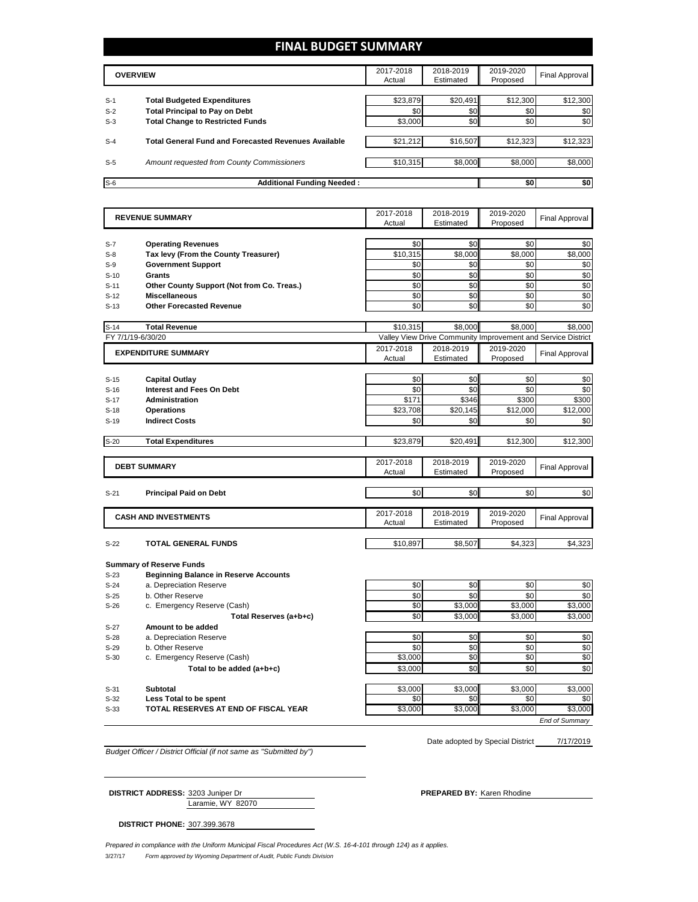## **FINAL BUDGET SUMMARY**

|                | <b>OVERVIEW</b>                                                             | 2017-2018<br>Actual | 2018-2019<br>Estimated | 2019-2020<br>Proposed | Final Approval  |
|----------------|-----------------------------------------------------------------------------|---------------------|------------------------|-----------------------|-----------------|
|                |                                                                             |                     |                        |                       |                 |
| $S-1$<br>$S-2$ | <b>Total Budgeted Expenditures</b><br><b>Total Principal to Pay on Debt</b> | \$23,879<br>\$0     | \$20,491<br>\$0        | \$12,300<br>\$0       | \$12,300<br>\$0 |
| $S-3$          | <b>Total Change to Restricted Funds</b>                                     | \$3,000             | \$0                    | \$0                   | \$0             |
|                |                                                                             |                     |                        |                       |                 |
| $S-4$          | <b>Total General Fund and Forecasted Revenues Available</b>                 | \$21,212            | \$16,507               | \$12,323              | \$12,323        |
| $S-5$          | Amount requested from County Commissioners                                  | \$10,315            | \$8,000                | \$8,000               | \$8,000         |
|                |                                                                             |                     |                        |                       |                 |
| $S-6$          | <b>Additional Funding Needed:</b>                                           |                     |                        | \$0                   | \$0             |

| <b>REVENUE SUMMARY</b>                                                              | 2017-2018       | 2018-2019       | 2019-2020                                                    | <b>Final Approval</b> |
|-------------------------------------------------------------------------------------|-----------------|-----------------|--------------------------------------------------------------|-----------------------|
|                                                                                     | Actual          | Estimated       | Proposed                                                     |                       |
|                                                                                     | \$0             | \$0             | \$0                                                          | \$0                   |
| <b>Operating Revenues</b><br>$S-7$<br>Tax levy (From the County Treasurer)<br>$S-8$ | \$10,315        | \$8,000         | \$8,000                                                      | \$8,000               |
| <b>Government Support</b><br>$S-9$                                                  | \$0             | \$0             | \$0                                                          | \$0                   |
| <b>Grants</b><br>$S-10$                                                             | \$0             | \$0             | \$0                                                          | \$0                   |
| Other County Support (Not from Co. Treas.)<br>$S-11$                                | \$0             | \$0             | \$0                                                          | \$0                   |
| <b>Miscellaneous</b><br>$S-12$                                                      | \$0             | \$0             | \$0                                                          | \$0                   |
| <b>Other Forecasted Revenue</b><br>$S-13$                                           | \$0             | \$0             | \$0                                                          | \$0                   |
|                                                                                     |                 |                 |                                                              |                       |
| <b>Total Revenue</b><br>$S-14$                                                      | \$10,315        | \$8,000         | \$8.000                                                      | \$8.000               |
| FY 7/1/19-6/30/20                                                                   |                 |                 | Valley View Drive Community Improvement and Service District |                       |
| <b>EXPENDITURE SUMMARY</b>                                                          | 2017-2018       | 2018-2019       | 2019-2020                                                    | <b>Final Approval</b> |
|                                                                                     | Actual          | Estimated       | Proposed                                                     |                       |
|                                                                                     |                 |                 |                                                              |                       |
| $S-15$<br><b>Capital Outlay</b><br><b>Interest and Fees On Debt</b>                 | \$0             | \$0<br>\$0      | \$0                                                          | \$0                   |
| $S-16$<br><b>Administration</b>                                                     | \$0             |                 | \$0                                                          | \$0                   |
| $S-17$<br><b>Operations</b>                                                         | \$171           | \$346           | \$300                                                        | \$300                 |
| $S-18$<br><b>Indirect Costs</b><br>$S-19$                                           | \$23,708<br>\$0 | \$20,145<br>\$0 | \$12,000<br>\$0                                              | \$12,000<br>\$0       |
|                                                                                     |                 |                 |                                                              |                       |
| $S-20$<br><b>Total Expenditures</b>                                                 | \$23,879        | \$20,491        | \$12,300                                                     | \$12,300              |
|                                                                                     |                 |                 |                                                              |                       |
| <b>DEBT SUMMARY</b>                                                                 | 2017-2018       | 2018-2019       | 2019-2020                                                    | <b>Final Approval</b> |
|                                                                                     | Actual          | Estimated       | Proposed                                                     |                       |
| $S-21$<br><b>Principal Paid on Debt</b>                                             | \$0             | \$0             | \$0                                                          | \$0                   |
|                                                                                     |                 |                 |                                                              |                       |
| <b>CASH AND INVESTMENTS</b>                                                         | 2017-2018       | 2018-2019       | 2019-2020                                                    | <b>Final Approval</b> |
|                                                                                     | Actual          | Estimated       | Proposed                                                     |                       |
| TOTAL GENERAL FUNDS<br>$S-22$                                                       | \$10,897        | \$8,507         | \$4,323                                                      | \$4,323               |
|                                                                                     |                 |                 |                                                              |                       |
| <b>Summary of Reserve Funds</b>                                                     |                 |                 |                                                              |                       |
| <b>Beginning Balance in Reserve Accounts</b><br>$S-23$                              |                 |                 |                                                              |                       |
| a. Depreciation Reserve<br>$S-24$                                                   | \$0             | \$0             | \$0                                                          | \$0                   |
| b. Other Reserve<br>$S-25$                                                          | \$0             | \$0             | \$0                                                          | \$0                   |
| c. Emergency Reserve (Cash)<br>$S-26$                                               | \$0             | \$3,000         | \$3,000                                                      | \$3,000               |
| Total Reserves (a+b+c)                                                              | \$0             | \$3,000         | \$3,000                                                      | \$3,000               |
| Amount to be added<br>$S-27$                                                        |                 |                 |                                                              |                       |
| a. Depreciation Reserve<br>$S-28$                                                   | \$0             | \$0             | \$0                                                          | \$0                   |
| b. Other Reserve<br>$S-29$                                                          | \$0             | \$0             | \$0                                                          | \$0                   |
| c. Emergency Reserve (Cash)<br>$S-30$                                               | \$3,000         | \$0             | \$0                                                          | \$0                   |
|                                                                                     |                 |                 |                                                              |                       |
| Total to be added (a+b+c)                                                           | \$3,000         | \$0             | \$0                                                          |                       |
|                                                                                     |                 |                 |                                                              |                       |
| <b>Subtotal</b><br>$S-31$                                                           | \$3,000         | \$3,000         | \$3,000                                                      | \$0<br>\$3,000        |
| Less Total to be spent<br>$S-32$<br>TOTAL RESERVES AT END OF FISCAL YEAR<br>$S-33$  | \$0<br>\$3,000  | \$0<br>\$3.000  | \$0<br>\$3,000                                               | \$0<br>\$3,000        |

*Budget Officer / District Official (if not same as "Submitted by")*

Date adopted by Special District 7/17/2019

Laramie, WY 82070 **DISTRICT ADDRESS:** 3203 Juniper Dr **PREPARED BY: Karen Rhodine** 

**DISTRICT PHONE:** 307.399.3678

3/27/17 *Form approved by Wyoming Department of Audit, Public Funds Division Prepared in compliance with the Uniform Municipal Fiscal Procedures Act (W.S. 16-4-101 through 124) as it applies.*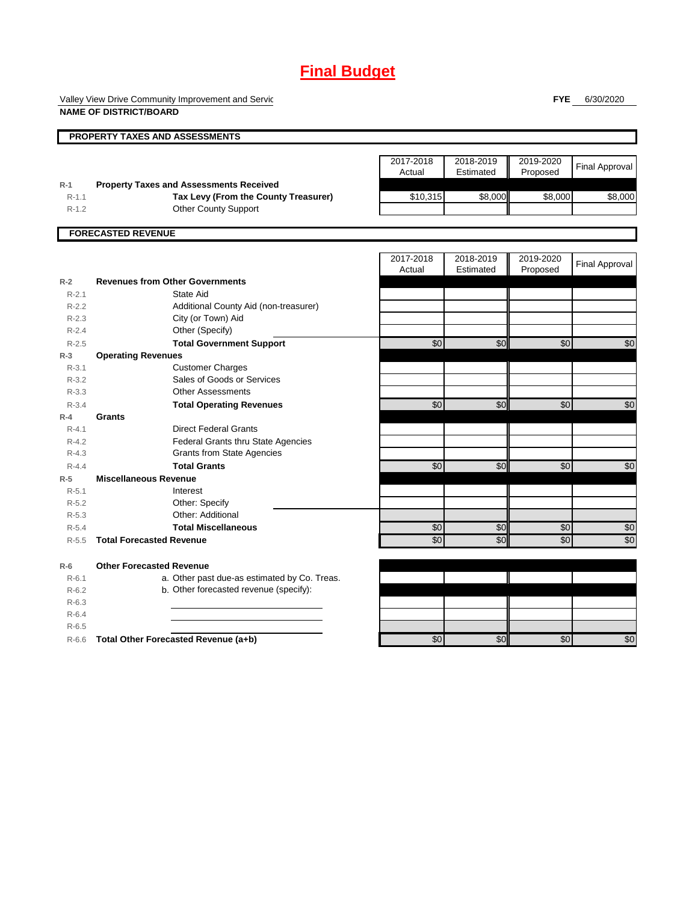# **Final Budget**

Valley View Drive Community Improvement and Servic **NAME OF DISTRICT/BOARD**

**FYE** 6/30/2020

|           | <b>PROPERTY TAXES AND ASSESSMENTS</b>          |                     |                        |                       |                       |
|-----------|------------------------------------------------|---------------------|------------------------|-----------------------|-----------------------|
|           |                                                |                     |                        |                       |                       |
|           |                                                | 2017-2018<br>Actual | 2018-2019<br>Estimated | 2019-2020<br>Proposed | <b>Final Approval</b> |
| $R-1$     | <b>Property Taxes and Assessments Received</b> |                     |                        |                       |                       |
| $R-1.1$   | Tax Levy (From the County Treasurer)           | \$10,315            | \$8,000                | \$8,000               | \$8,000               |
| $R-1.2$   | <b>Other County Support</b>                    |                     |                        |                       |                       |
|           | <b>FORECASTED REVENUE</b>                      |                     |                        |                       |                       |
|           |                                                |                     |                        |                       |                       |
|           |                                                | 2017-2018<br>Actual | 2018-2019<br>Estimated | 2019-2020<br>Proposed | <b>Final Approval</b> |
| $R-2$     | <b>Revenues from Other Governments</b>         |                     |                        |                       |                       |
| $R - 2.1$ | State Aid                                      |                     |                        |                       |                       |
| $R-2.2$   | Additional County Aid (non-treasurer)          |                     |                        |                       |                       |
| $R-2.3$   | City (or Town) Aid                             |                     |                        |                       |                       |
| $R - 2.4$ | Other (Specify)                                |                     |                        |                       |                       |
| $R-2.5$   | <b>Total Government Support</b>                | \$0                 | \$0                    | \$0                   | \$0                   |
| $R-3$     | <b>Operating Revenues</b>                      |                     |                        |                       |                       |
| $R - 3.1$ | <b>Customer Charges</b>                        |                     |                        |                       |                       |
| $R - 3.2$ | Sales of Goods or Services                     |                     |                        |                       |                       |
| $R - 3.3$ | <b>Other Assessments</b>                       |                     |                        |                       |                       |
| $R - 3.4$ | <b>Total Operating Revenues</b>                | \$0                 | \$0                    | \$0                   | \$0                   |
| $R-4$     | Grants                                         |                     |                        |                       |                       |
| $R - 4.1$ | <b>Direct Federal Grants</b>                   |                     |                        |                       |                       |
| $R - 4.2$ | <b>Federal Grants thru State Agencies</b>      |                     |                        |                       |                       |
| $R - 4.3$ | <b>Grants from State Agencies</b>              |                     |                        |                       |                       |
| $R - 4.4$ | <b>Total Grants</b>                            | $\overline{60}$     | \$0                    | \$0                   | \$0                   |
| $R-5$     | <b>Miscellaneous Revenue</b>                   |                     |                        |                       |                       |
| $R - 5.1$ | Interest                                       |                     |                        |                       |                       |
| $R-5.2$   | Other: Specify                                 |                     |                        |                       |                       |
| $R - 5.3$ | Other: Additional                              |                     |                        |                       |                       |
| $R - 5.4$ | <b>Total Miscellaneous</b>                     | \$0                 | \$0                    | $\sqrt{6}$            | \$0                   |
| $R - 5.5$ | <b>Total Forecasted Revenue</b>                | \$0                 | \$0                    | \$0                   | \$0                   |
| $R-6$     | <b>Other Forecasted Revenue</b>                |                     |                        |                       |                       |
| $R - 6.1$ | a. Other past due-as estimated by Co. Treas.   |                     |                        |                       |                       |
| $R - 6.2$ | b. Other forecasted revenue (specify):         |                     |                        |                       |                       |
| $R-6.3$   |                                                |                     |                        |                       |                       |
| $R-6.4$   |                                                |                     |                        |                       |                       |
| $R-6.5$   |                                                |                     |                        |                       |                       |
| $R-6.6$   | Total Other Forecasted Revenue (a+b)           | \$0                 | \$0                    | \$0                   | $\sqrt{6}$            |
|           |                                                |                     |                        |                       |                       |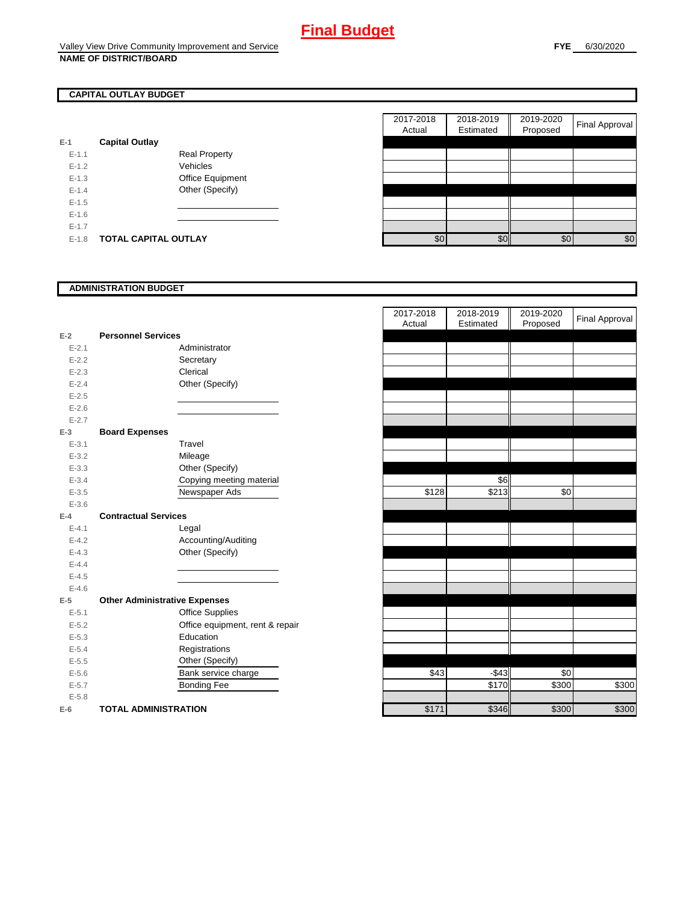# **CAPITAL OUTLAY BUDGET**

| $E-1$     | <b>Capital Outlay</b> |                         |
|-----------|-----------------------|-------------------------|
| $E - 1.1$ |                       | Real Property           |
| $F-12$    |                       | Vehicles                |
| $F-1.3$   |                       | <b>Office Equipment</b> |
| $F-14$    |                       | Other (Specify)         |
| $F-1.5$   |                       |                         |
| $F-16$    |                       |                         |
| $F-17$    |                       |                         |
| $F-1.8$   | TOTAL CAPITAL OUTLAY  |                         |

| 2017-2018<br>2018-2019<br>2019-2020<br>Estimated<br>Proposed<br>Actual<br><b>Capital Outlay</b><br>$E-1.1$<br><b>Real Property</b><br>$E-1.2$<br>Vehicles<br>$E-1.3$<br>Office Equipment<br>Other (Specify)<br>$E - 1.4$<br>$E-1.5$<br>$E-1.6$<br>$E - 1.7$ |         |                             |     |     |     |                       |
|-------------------------------------------------------------------------------------------------------------------------------------------------------------------------------------------------------------------------------------------------------------|---------|-----------------------------|-----|-----|-----|-----------------------|
|                                                                                                                                                                                                                                                             |         |                             |     |     |     | <b>Final Approval</b> |
|                                                                                                                                                                                                                                                             |         |                             |     |     |     |                       |
|                                                                                                                                                                                                                                                             |         |                             |     |     |     |                       |
|                                                                                                                                                                                                                                                             |         |                             |     |     |     |                       |
|                                                                                                                                                                                                                                                             |         |                             |     |     |     |                       |
|                                                                                                                                                                                                                                                             |         |                             |     |     |     |                       |
|                                                                                                                                                                                                                                                             |         |                             |     |     |     |                       |
|                                                                                                                                                                                                                                                             |         |                             |     |     |     |                       |
|                                                                                                                                                                                                                                                             |         |                             |     |     |     |                       |
|                                                                                                                                                                                                                                                             | $E-1.8$ | <b>TOTAL CAPITAL OUTLAY</b> | \$0 | \$0 | \$0 | \$0                   |

### **ADMINISTRATION BUDGET**

|           |                                      |                                 | Actual | Esumated | Proposed |
|-----------|--------------------------------------|---------------------------------|--------|----------|----------|
| $E-2$     | <b>Personnel Services</b>            |                                 |        |          |          |
| $E - 2.1$ |                                      | Administrator                   |        |          |          |
| $E - 2.2$ |                                      | Secretary                       |        |          |          |
| $E - 2.3$ |                                      | Clerical                        |        |          |          |
| $E-2.4$   |                                      | Other (Specify)                 |        |          |          |
| $E - 2.5$ |                                      |                                 |        |          |          |
| $E-2.6$   |                                      |                                 |        |          |          |
| $E - 2.7$ |                                      |                                 |        |          |          |
| $E-3$     | <b>Board Expenses</b>                |                                 |        |          |          |
| $E - 3.1$ |                                      | Travel                          |        |          |          |
| $E - 3.2$ |                                      | Mileage                         |        |          |          |
| $E - 3.3$ |                                      | Other (Specify)                 |        |          |          |
| $E - 3.4$ |                                      | Copying meeting material        |        | \$6      |          |
| $E - 3.5$ |                                      | Newspaper Ads                   | \$128  | \$213    | \$0      |
| $E - 3.6$ |                                      |                                 |        |          |          |
| $E-4$     | <b>Contractual Services</b>          |                                 |        |          |          |
| $E - 4.1$ |                                      | Legal                           |        |          |          |
| $E - 4.2$ |                                      | Accounting/Auditing             |        |          |          |
| $E - 4.3$ |                                      | Other (Specify)                 |        |          |          |
| $E-4.4$   |                                      |                                 |        |          |          |
| $E-4.5$   |                                      |                                 |        |          |          |
| $E - 4.6$ |                                      |                                 |        |          |          |
| $E-5$     | <b>Other Administrative Expenses</b> |                                 |        |          |          |
| $E - 5.1$ |                                      | <b>Office Supplies</b>          |        |          |          |
| $E-5.2$   |                                      | Office equipment, rent & repair |        |          |          |
| $E-5.3$   |                                      | Education                       |        |          |          |
| $E - 5.4$ |                                      | Registrations                   |        |          |          |
| $E - 5.5$ |                                      | Other (Specify)                 |        |          |          |
| $E - 5.6$ |                                      | Bank service charge             | \$43   | $-$43$   | \$0      |
| $E - 5.7$ |                                      | <b>Bonding Fee</b>              |        | \$170    | \$300    |
| $E - 5.8$ |                                      |                                 |        |          |          |
| $E-6$     | <b>TOTAL ADMINISTRATION</b>          |                                 | \$171  | \$346    | \$300    |

|                          |                                      | 2017-2018<br>Actual | 2018-2019<br>Estimated | 2019-2020<br>Proposed | <b>Final Approval</b> |
|--------------------------|--------------------------------------|---------------------|------------------------|-----------------------|-----------------------|
| Ž                        | <b>Personnel Services</b>            |                     |                        |                       |                       |
| $E - 2.1$                | Administrator                        |                     |                        |                       |                       |
| $E - 2.2$                | Secretary                            |                     |                        |                       |                       |
| $E - 2.3$                | Clerical                             |                     |                        |                       |                       |
| $E - 2.4$                | Other (Specify)                      |                     |                        |                       |                       |
| $E - 2.5$                |                                      |                     |                        |                       |                       |
| $E - 2.6$                |                                      |                     |                        |                       |                       |
| $E - 2.7$                |                                      |                     |                        |                       |                       |
| 3                        | <b>Board Expenses</b>                |                     |                        |                       |                       |
| $E - 3.1$                | Travel                               |                     |                        |                       |                       |
| $E - 3.2$                | Mileage                              |                     |                        |                       |                       |
| $E - 3.3$                | Other (Specify)                      |                     |                        |                       |                       |
| $E - 3.4$                | Copying meeting material             |                     | \$6                    |                       |                       |
| $E - 3.5$                | Newspaper Ads                        | \$128               | \$213                  | \$0                   |                       |
| $E - 3.6$                |                                      |                     |                        |                       |                       |
| ı.                       | <b>Contractual Services</b>          |                     |                        |                       |                       |
| $E - 4.1$                | Legal                                |                     |                        |                       |                       |
| $E - 4.2$                | Accounting/Auditing                  |                     |                        |                       |                       |
| $E - 4.3$                | Other (Specify)                      |                     |                        |                       |                       |
| $E - 4.4$                |                                      |                     |                        |                       |                       |
| $E - 4.5$                |                                      |                     |                        |                       |                       |
| $E - 4.6$                |                                      |                     |                        |                       |                       |
| $\overline{\phantom{a}}$ | <b>Other Administrative Expenses</b> |                     |                        |                       |                       |
| $E - 5.1$                | <b>Office Supplies</b>               |                     |                        |                       |                       |
| $E - 5.2$                | Office equipment, rent & repair      |                     |                        |                       |                       |
| $E - 5.3$                | Education                            |                     |                        |                       |                       |
| $E - 5.4$                | Registrations                        |                     |                        |                       |                       |
| $E - 5.5$                | Other (Specify)                      |                     |                        |                       |                       |
| $E - 5.6$                | Bank service charge                  | \$43                | $-$43$                 | \$0                   |                       |
| $E - 5.7$                | <b>Bonding Fee</b>                   |                     | \$170                  | \$300                 | \$300                 |
| $E - 5.8$                |                                      |                     |                        |                       |                       |
| ì                        | <b>TOTAL ADMINISTRATION</b>          | \$171               | \$346                  | \$300                 | \$300                 |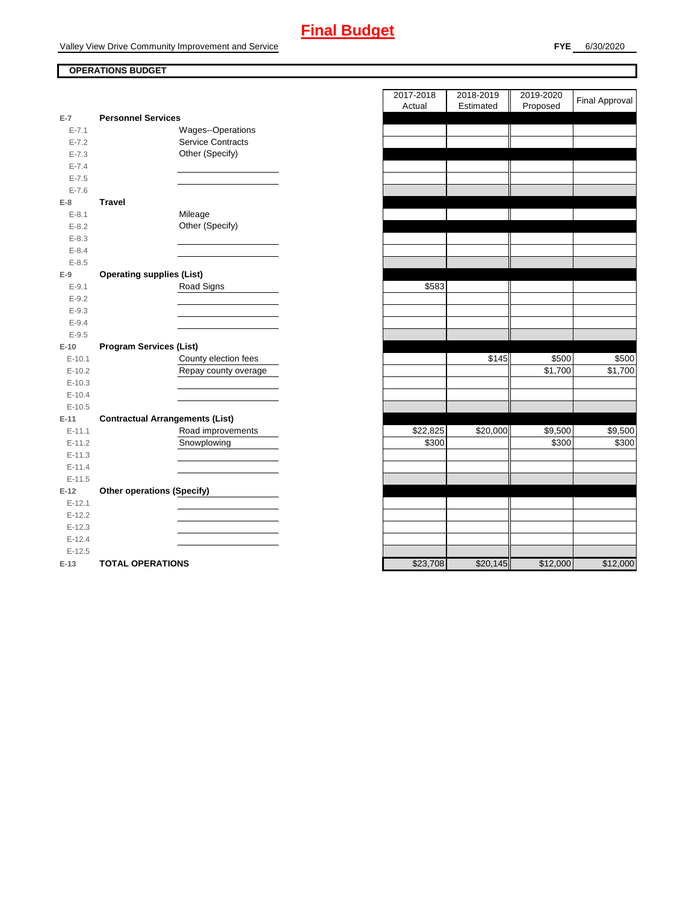# **Final Budget**

Valley View Drive Community Improvement and Service

## **OPERATIONS BUDGET**

|           |                                        | Auudi    | Estimated | <b>FIUPUSEU</b> |          |
|-----------|----------------------------------------|----------|-----------|-----------------|----------|
| $E-7$     | <b>Personnel Services</b>              |          |           |                 |          |
| $E - 7.1$ | Wages--Operations                      |          |           |                 |          |
| $E - 7.2$ | Service Contracts                      |          |           |                 |          |
| $E - 7.3$ | Other (Specify)                        |          |           |                 |          |
| $E - 7.4$ |                                        |          |           |                 |          |
| $E - 7.5$ |                                        |          |           |                 |          |
| $E - 7.6$ |                                        |          |           |                 |          |
| $E-8$     | <b>Travel</b>                          |          |           |                 |          |
| $E - 8.1$ | Mileage                                |          |           |                 |          |
| $E-8.2$   | Other (Specify)                        |          |           |                 |          |
| $E - 8.3$ |                                        |          |           |                 |          |
| $E - 8.4$ |                                        |          |           |                 |          |
| $E - 8.5$ |                                        |          |           |                 |          |
| $E-9$     | <b>Operating supplies (List)</b>       |          |           |                 |          |
| $E - 9.1$ | Road Signs                             | \$583    |           |                 |          |
| $E-9.2$   |                                        |          |           |                 |          |
| $E-9.3$   |                                        |          |           |                 |          |
| $E-9.4$   |                                        |          |           |                 |          |
| $E-9.5$   |                                        |          |           |                 |          |
| $E-10$    | <b>Program Services (List)</b>         |          |           |                 |          |
| $E-10.1$  | County election fees                   |          | \$145     | \$500           | \$500    |
| $E-10.2$  | Repay county overage                   |          |           | \$1,700         | \$1,700  |
| $E-10.3$  |                                        |          |           |                 |          |
| $E-10.4$  |                                        |          |           |                 |          |
| $E-10.5$  |                                        |          |           |                 |          |
| $E-11$    | <b>Contractual Arrangements (List)</b> |          |           |                 |          |
| $E-11.1$  | Road improvements                      | \$22,825 | \$20,000  | \$9,500         | \$9,500  |
| $E-11.2$  | Snowplowing                            | \$300    |           | \$300           | \$300    |
| $E-11.3$  |                                        |          |           |                 |          |
| $E-11.4$  |                                        |          |           |                 |          |
| $E-11.5$  |                                        |          |           |                 |          |
| $E-12$    | <b>Other operations (Specify)</b>      |          |           |                 |          |
| $E-12.1$  |                                        |          |           |                 |          |
| $E-12.2$  |                                        |          |           |                 |          |
| $E-12.3$  |                                        |          |           |                 |          |
| $E-12.4$  |                                        |          |           |                 |          |
| $E-12.5$  |                                        |          |           |                 |          |
| $E-13$    | <b>TOTAL OPERATIONS</b>                | \$23,708 | \$20,145  | \$12,000        | \$12,000 |

|                |                                        | 2017-2018<br>Actual | 2018-2019<br>Estimated | 2019-2020<br>Proposed | <b>Final Approval</b> |
|----------------|----------------------------------------|---------------------|------------------------|-----------------------|-----------------------|
| $\overline{7}$ | <b>Personnel Services</b>              |                     |                        |                       |                       |
| $E - 7.1$      | Wages--Operations                      |                     |                        |                       |                       |
| $E - 7.2$      | <b>Service Contracts</b>               |                     |                        |                       |                       |
| $E - 7.3$      | Other (Specify)                        |                     |                        |                       |                       |
| $E - 7.4$      |                                        |                     |                        |                       |                       |
| $E - 7.5$      |                                        |                     |                        |                       |                       |
| $E - 7.6$      |                                        |                     |                        |                       |                       |
| 8              | <b>Travel</b>                          |                     |                        |                       |                       |
| $E - 8.1$      | Mileage                                |                     |                        |                       |                       |
| $E - 8.2$      | Other (Specify)                        |                     |                        |                       |                       |
| $E - 8.3$      |                                        |                     |                        |                       |                       |
| $E - 8.4$      |                                        |                     |                        |                       |                       |
| $E - 8.5$      |                                        |                     |                        |                       |                       |
| 9              | <b>Operating supplies (List)</b>       |                     |                        |                       |                       |
| $E-9.1$        | Road Signs                             | \$583               |                        |                       |                       |
| $E-9.2$        |                                        |                     |                        |                       |                       |
| $E - 9.3$      |                                        |                     |                        |                       |                       |
| $E - 9.4$      |                                        |                     |                        |                       |                       |
| $E-9.5$        |                                        |                     |                        |                       |                       |
| 10             | <b>Program Services (List)</b>         |                     |                        |                       |                       |
| $E-10.1$       | County election fees                   |                     | \$145                  | \$500                 | \$500                 |
| $E-10.2$       | Repay county overage                   |                     |                        | \$1,700               | \$1,700               |
| $E-10.3$       |                                        |                     |                        |                       |                       |
| $E-10.4$       |                                        |                     |                        |                       |                       |
| $E-10.5$       |                                        |                     |                        |                       |                       |
| $-11$          | <b>Contractual Arrangements (List)</b> |                     |                        |                       |                       |
| $E-11.1$       | Road improvements                      | \$22,825            | \$20,000               | \$9,500               | \$9,500               |
| $E-11.2$       | Snowplowing                            | \$300               |                        | \$300                 | \$300                 |
| $E-11.3$       |                                        |                     |                        |                       |                       |
| $E-11.4$       |                                        |                     |                        |                       |                       |
| $E-11.5$       |                                        |                     |                        |                       |                       |
| 12             | <b>Other operations (Specify)</b>      |                     |                        |                       |                       |
| $E-12.1$       |                                        |                     |                        |                       |                       |
| $E-12.2$       |                                        |                     |                        |                       |                       |
| $E-12.3$       |                                        |                     |                        |                       |                       |
| $E-12.4$       |                                        |                     |                        |                       |                       |
| $E-12.5$       |                                        |                     |                        |                       |                       |
| $-13$          | <b>TOTAL OPERATIONS</b>                | \$23,708            | \$20.145               | \$12,000              | \$12,000              |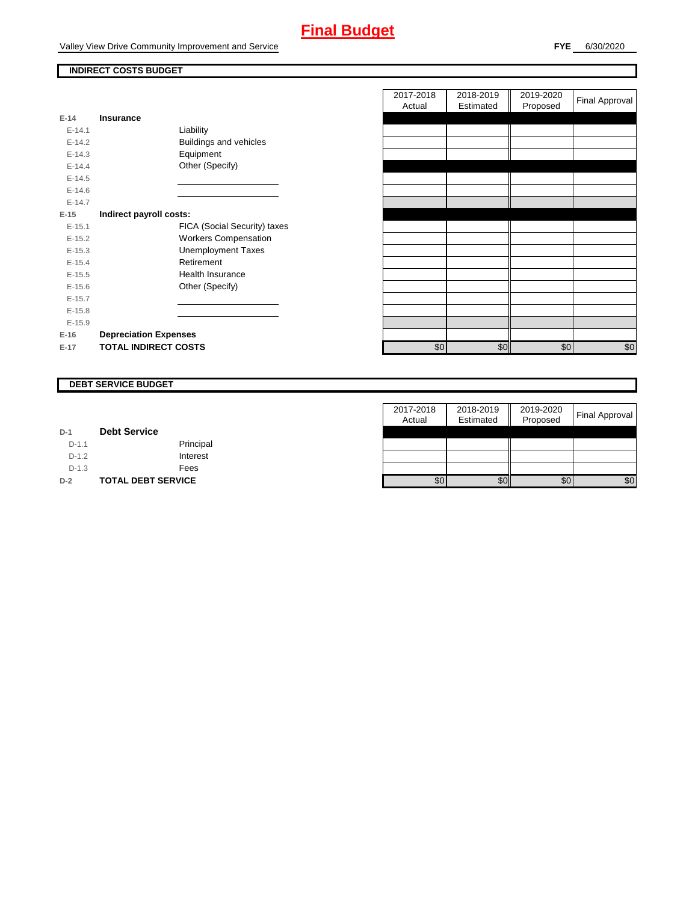# **Final Budget**

Valley View Drive Community Improvement and Service

### **INDIRECT COSTS BUDGET**

| E-14       | Insurance                    |
|------------|------------------------------|
| $F-141$    | Liability                    |
| $F-142$    | Buildings and vehicles       |
| $E-14.3$   | Equipment                    |
| $F-144$    | Other (Specify)              |
| $E-14.5$   |                              |
| $E - 14.6$ |                              |
| $F-147$    |                              |
| E-15       | Indirect payroll costs:      |
| $E-15.1$   | FICA (Social Security) taxes |
| $E-15.2$   | <b>Workers Compensation</b>  |
| $E-15.3$   | <b>Unemployment Taxes</b>    |
| $E-15.4$   | Retirement                   |
| $E-15.5$   | Health Insurance             |
| $E - 15.6$ | Other (Specify)              |
| $E-15.7$   |                              |
| $E-15.8$   |                              |
| $E-15.9$   |                              |
| $E-16$     | <b>Depreciation Expenses</b> |
| $E-17$     | <b>TOTAL INDIRECT COSTS</b>  |

|          |                              | 2017-2018<br>Actual | 2018-2019<br>Estimated | 2019-2020<br>Proposed | <b>Final Approval</b> |
|----------|------------------------------|---------------------|------------------------|-----------------------|-----------------------|
| $E-14$   | <b>Insurance</b>             |                     |                        |                       |                       |
| $E-14.1$ | Liability                    |                     |                        |                       |                       |
| $E-14.2$ | Buildings and vehicles       |                     |                        |                       |                       |
| $E-14.3$ | Equipment                    |                     |                        |                       |                       |
| $E-14.4$ | Other (Specify)              |                     |                        |                       |                       |
| $E-14.5$ |                              |                     |                        |                       |                       |
| $E-14.6$ |                              |                     |                        |                       |                       |
| $E-14.7$ |                              |                     |                        |                       |                       |
| $E-15$   | Indirect payroll costs:      |                     |                        |                       |                       |
| $E-15.1$ | FICA (Social Security) taxes |                     |                        |                       |                       |
| $E-15.2$ | <b>Workers Compensation</b>  |                     |                        |                       |                       |
| $E-15.3$ | <b>Unemployment Taxes</b>    |                     |                        |                       |                       |
| $E-15.4$ | Retirement                   |                     |                        |                       |                       |
| $E-15.5$ | Health Insurance             |                     |                        |                       |                       |
| $E-15.6$ | Other (Specify)              |                     |                        |                       |                       |
| $E-15.7$ |                              |                     |                        |                       |                       |
| $E-15.8$ |                              |                     |                        |                       |                       |
| $E-15.9$ |                              |                     |                        |                       |                       |
| E-16     | <b>Depreciation Expenses</b> |                     |                        |                       |                       |
| E-17     | <b>TOTAL INDIRECT COSTS</b>  | \$0                 | \$0                    | \$0                   | \$0                   |
|          |                              |                     |                        |                       |                       |

### **DEBT SERVICE BUDGET**

|         |                           | 2017-2018 | 2018-2019 | 2019-2020 |                       |
|---------|---------------------------|-----------|-----------|-----------|-----------------------|
|         |                           | Actual    | Estimated | Proposed  | <b>Final Approval</b> |
| $D-1$   | <b>Debt Service</b>       |           |           |           |                       |
| $D-1.1$ | Principal                 |           |           |           |                       |
| $D-1.2$ | Interest                  |           |           |           |                       |
| $D-1.3$ | Fees                      |           |           |           |                       |
| $D-2$   | <b>TOTAL DEBT SERVICE</b> | \$0       | \$0       | \$0       | \$0                   |